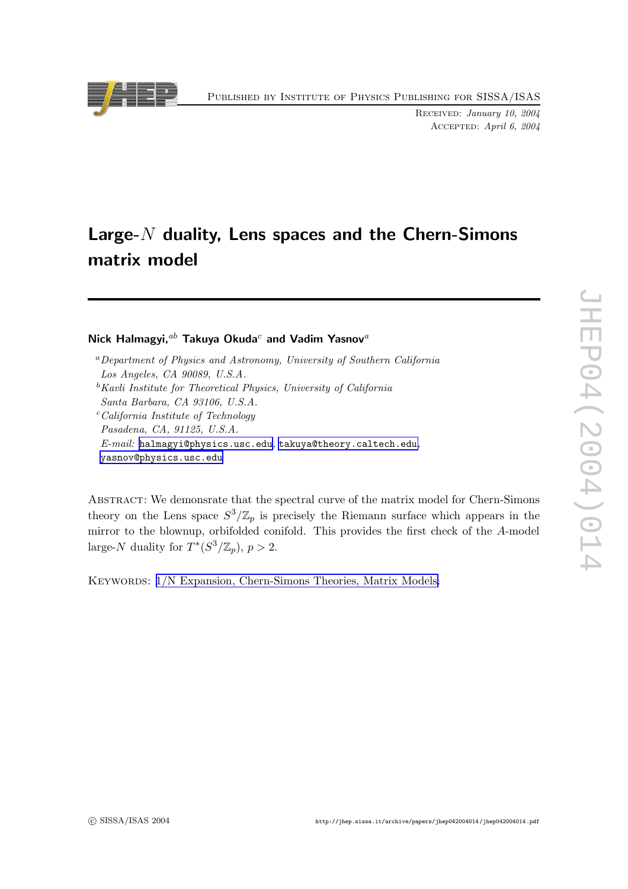Published by Institute of Physics Publishing for SISSA/ISAS

Received: January 10, 2004 Accepted: April 6, 2004

# Large- $N$  duality, Lens spaces and the Chern-Simons matrix model

Nick Halmagyi, $^{ab}$  Takuya Okuda $^c$  and Vadim Yasnov $^a$ 

<sup>a</sup>Department of Physics and Astronomy, University of Southern California Los Angeles, CA 90089, U.S.A.  ${}^{\text{b}}$ Kavli Institute for Theoretical Physics, University of California

Santa Barbara, CA 93106, U.S.A.

<sup>c</sup>California Institute of Technology Pasadena, CA, 91125, U.S.A.  $E\text{-}mail:$  [halmagyi@physics.usc.edu](mailto:halmagyi@physics.usc.edu), [takuya@theory.caltech.ed](mailto:takuya@theory.caltech.edu)u, [yasnov@physics.usc.edu](mailto:yasnov@physics.usc.edu)

ABSTRACT: We demonsrate that the spectral curve of the matrix model for Chern-Simons theory on the Lens space  $S^3/\mathbb{Z}_p$  is precisely the Riemann surface which appears in the mirror to the blownup, orbifolded conifold. This provides the first chec k of the A-model large-N duality for  $T^*(S^3/\mathbb{Z}_p)$ ,  $p > 2$ .

KEYWORDS:  $1/N$  Expansion, [Chern-Simons](http://jhep.sissa.it/stdsearch?keywords=1/N_Expansion+Chern-Simons_Theories+Matrix_Models) Theories, Matrix Models.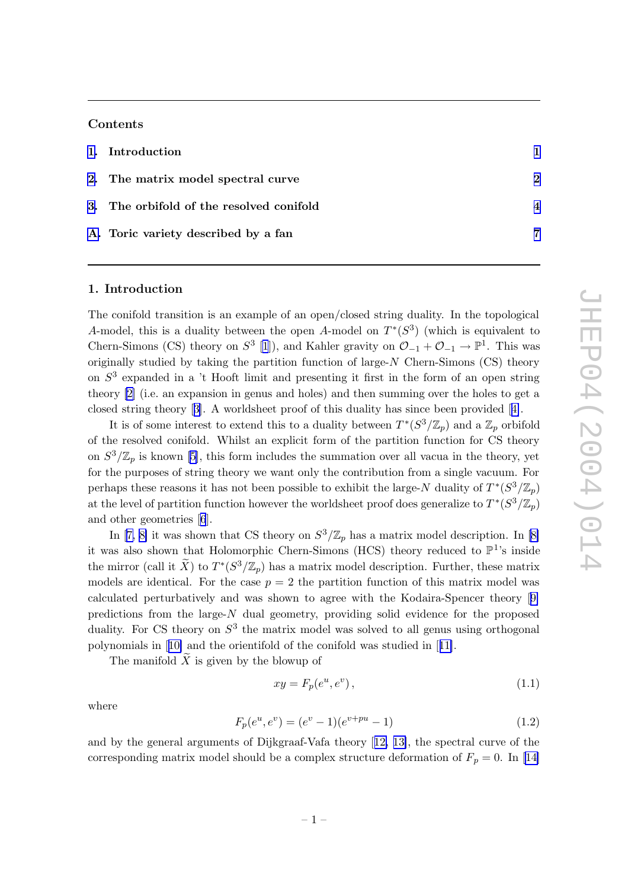## <span id="page-1-0"></span>Contents

| 1. Introduction                          |                            |
|------------------------------------------|----------------------------|
| 2. The matrix model spectral curve       | $\boldsymbol{\mathcal{D}}$ |
| 3. The orbifold of the resolved conifold |                            |
| A. Toric variety described by a fan      | 7                          |

#### 1. Introduction

The conifold transition is an example of an open/closed string duality. In the topological A-model, this is a duality between the open A-model on  $T^*(S^3)$  (which is equivalent to Chern-Simons (CS) theory on  $S^3$  [[1](#page-8-0)]), and Kahler gravity on  $\mathcal{O}_{-1} + \mathcal{O}_{-1} \to \mathbb{P}^1$ . This was originally studied b y taking the partition function of large-N Chern-Simons (CS) theory on  $S<sup>3</sup>$  expanded in a 't Hooft limit and presenting it first in the form of an open string theory [\[2](#page-8-0)] (i.e. an expansion in genus and holes) and then summing over the holes to get a closed string theory [[3](#page-8-0)]. A worldsheet proof of this duality has since been provided [[4\]](#page-8-0).

It is of some interest to extend this to a duality between  $T^*(S^3/\mathbb{Z}_p)$  and a  $\mathbb{Z}_p$  orbifold of the resolved conifold. Whilst an explicit form of the partition function for CS theory on  $S^3/\mathbb{Z}_p$  is known [\[5\]](#page-8-0), this form includes the summation over all vacua in the theory, yet for the purposes of string theory w e wan t only the contribution from a single vacuum. For perhaps these reasons it has not been possible to exhibit the large-N duality of  $T^*(S^3/\mathbb{Z}_p)$ at the level of partition function however the worldsheet proof does generalize to  $T^*(S^3/\mathbb{Z}_p)$ and other geometries [[6](#page-8-0)].

In [\[7](#page-8-0), [8](#page-8-0)] it was shown that CS theory on  $S^3/\mathbb{Z}_p$  has a matrix model description. In [\[8](#page-8-0)] it was also shown that Holomorphic Chern-Simons (HCS) theory reduced to  $\mathbb{P}^1$ 's inside the mirror (call it  $\tilde{X}$ ) to  $T^*(S^3/\mathbb{Z}_p)$  has a matrix model description. Further, these matrix models are identical. For the case  $p = 2$  the partition function of this matrix model was calculated perturbatively and was shown to agree with the Kodaira-Spencer theory [[9](#page-8-0) ] predictions from the large-N dual geometry , providing solid evidence for the proposed duality. For CS theory on  $S^3$  the matrix model was solved to all genus using orthogonal polynomials in [[10](#page-8-0) ] and the orientifold of the conifold was studied in [[11\]](#page-8-0).

The manifold  $X$  is given by the blowup of

$$
xy = F_p(e^u, e^v), \tag{1.1}
$$

where

$$
F_p(e^u, e^v) = (e^v - 1)(e^{v + pu} - 1)
$$
\n(1.2)

and b y the general arguments of Dijkgraaf-Vafa theory [[12](#page-8-0) , [13\]](#page-9-0), the spectral curv e of the corresponding matrix model should be a complex structure deformation of  $F_p = 0$ . In [[14](#page-9-0)]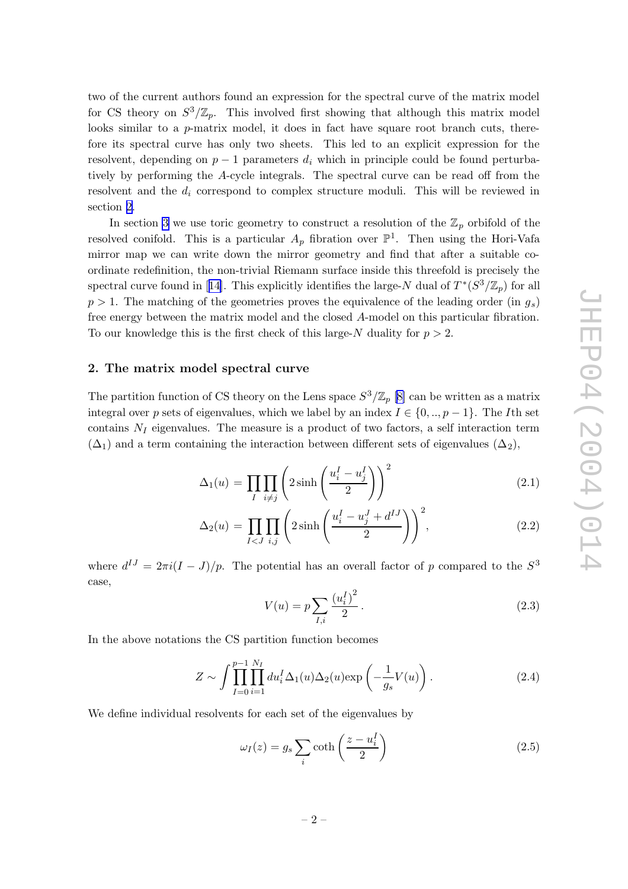<span id="page-2-0"></span>t w o of the curren t authors found an expression for the spectral curv e of the matrix model for CS theory on  $S^3/\mathbb{Z}_p$ . This involved first showing that although this matrix model looks similar to a *p*-matrix model, it does in fact have square root branch cuts, therefore its spectral curve has only two sheets. This led to an explicit expression for the resolvent, depending on  $p-1$  parameters  $d_i$  which in principle could be found perturbatively by performing the A-cycle integrals. The spectral curve can be read off from the resolvent and the  $d_i$  correspond to complex structure moduli. This will be reviewed in section 2 .

In section [3](#page-4-0) we use toric geometry to construct a resolution of the  $\mathbb{Z}_p$  orbifold of the resolved conifold. This is a particular  $A_p$  fibration over  $\mathbb{P}^1$ . Then using the Hori-Vafa mirror map w e can write down the mirror geometry and find that after a suitable coordinate redefinition, the non-trivial Riemann surface inside this threefold is precisely the spectral curve found in [[14\]](#page-9-0). This explicitly identifies the large-N dual of  $T^*(S^3/\mathbb{Z}_p)$  for all  $p > 1$ . The matching of the geometries proves the equivalence of the leading order (in  $g_s$ ) free energy bet ween the matrix model and the closed A-model on this particular fibration. To our knowledge this is the first check of this large-N duality for  $p > 2$ .

# 2. The matrix model spectral curv e

The partition function of CS theory on the Lens space  $S^3/\mathbb{Z}_p$  [\[8](#page-8-0)] can be written as a matrix integral over p sets of eigenvalues, which we label by an index  $I \in \{0, ..., p-1\}$ . The I<sup>th</sup> set contains  $N_I$  eigenvalues. The measure is a product of two factors, a self interaction term  $(\Delta_1)$  and a term containing the interaction between different sets of eigenvalues  $(\Delta_2)$ ,

$$
\Delta_1(u) = \prod_{I} \prod_{i \neq j} \left( 2 \sinh\left(\frac{u_i^I - u_j^I}{2}\right) \right)^2 \tag{2.1}
$$

$$
\Delta_2(u) = \prod_{I < J} \prod_{i,j} \left( 2\sinh\left(\frac{u_i^I - u_j^J + d^{IJ}}{2}\right) \right)^2,\tag{2.2}
$$

where  $d^{IJ} = 2\pi i (I - J)/p$ . The potential has an overall factor of p compared to the  $S^3$ case,

$$
V(u) = p \sum_{I,i} \frac{(u_i^I)^2}{2}.
$$
\n(2.3)

In the above notations the CS partition function becomes

$$
Z \sim \int \prod_{I=0}^{p-1} \prod_{i=1}^{N_I} du_i^I \Delta_1(u) \Delta_2(u) \exp\left(-\frac{1}{g_s}V(u)\right). \tag{2.4}
$$

We define individual resolvents for each set of the eigenvalues by

$$
\omega_I(z) = g_s \sum_i \coth\left(\frac{z - u_i^I}{2}\right) \tag{2.5}
$$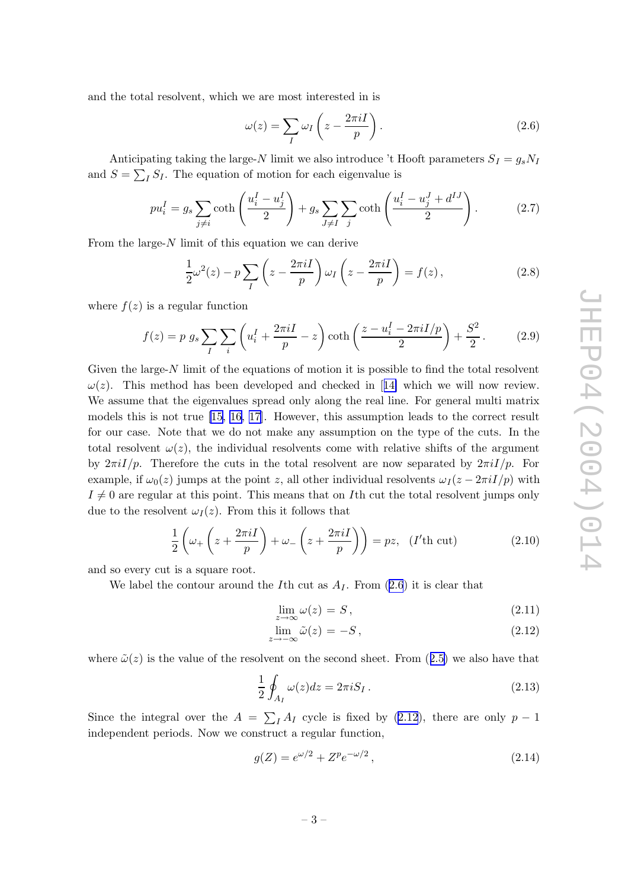<span id="page-3-0"></span>and the total resolvent, whic h w e are most interested in is

$$
\omega(z) = \sum_{I} \omega_{I} \left( z - \frac{2\pi i I}{p} \right). \tag{2.6}
$$

Anticipating taking the large-N limit we also introduce 't Hooft parameters  $S_I = g_s N_I$ and  $S = \sum_I S_I$ . The equation of motion for each eigenvalue is

$$
pu_i^I = g_s \sum_{j \neq i} \coth\left(\frac{u_i^I - u_j^I}{2}\right) + g_s \sum_{J \neq I} \sum_j \coth\left(\frac{u_i^I - u_j^J + d^{IJ}}{2}\right). \tag{2.7}
$$

From the large- $N$  limit of this equation we can derive

$$
\frac{1}{2}\omega^2(z) - p\sum_{I} \left(z - \frac{2\pi i I}{p}\right) \omega_I \left(z - \frac{2\pi i I}{p}\right) = f(z),\tag{2.8}
$$

where  $f(z)$  is a regular function

$$
f(z) = p g_s \sum_{I} \sum_{i} \left( u_i^I + \frac{2\pi i I}{p} - z \right) \coth\left(\frac{z - u_i^I - 2\pi i I/p}{2}\right) + \frac{S^2}{2}.
$$
 (2.9)

Given the large- $N$  limit of the equations of motion it is possible to find the total resolvent  $\omega(z)$ . This method has been developed and checked in [[14](#page-9-0)] which we will now review. We assume that the eigenvalues spread only along the real line. For general multi matrix models this is not true [\[15](#page-9-0), [16](#page-9-0), [17](#page-9-0)]. However, this assumption leads to the correct result for our case. Note that w e do not mak e an y assumption on the typ e of the cuts. In the total resolvent  $\omega(z)$ , the individual resolvents come with relative shifts of the argument by  $2\pi i I/p$ . Therefore the cuts in the total resolvent are now separated by  $2\pi i I/p$ . For example, if  $\omega_0(z)$  jumps at the point z, all other individual resolvents  $\omega_I(z - 2\pi i I/p)$  with  $I \neq 0$  are regular at this point. This means that on Ith cut the total resolvent jumps only due to the resolvent  $\omega_I(z)$ . From this it follows that

$$
\frac{1}{2}\left(\omega_{+}\left(z+\frac{2\pi iI}{p}\right)+\omega_{-}\left(z+\frac{2\pi iI}{p}\right)\right)=pz,\ \ (I'th\ \text{cut})\tag{2.10}
$$

and so every cut is a square root.

We label the contour around the I<sup>th</sup> cut as  $A_I$ . From  $(2.6)$  it is clear that

$$
\lim_{z \to \infty} \omega(z) = S, \tag{2.11}
$$

$$
\lim_{z \to -\infty} \tilde{\omega}(z) = -S, \tag{2.12}
$$

where  $\tilde{\omega}(z)$  is the value of the resolvent on the second sheet. From  $(2.5)$  $(2.5)$  $(2.5)$  we also have that

$$
\frac{1}{2} \oint_{A_I} \omega(z) dz = 2\pi i S_I. \tag{2.13}
$$

Since the integral over the  $A = \sum_{I} A_{I}$  cycle is fixed by (2.12), there are only  $p - 1$ independen t periods. No w w e construct a regular function,

$$
g(Z) = e^{\omega/2} + Z^p e^{-\omega/2},
$$
\n(2.14)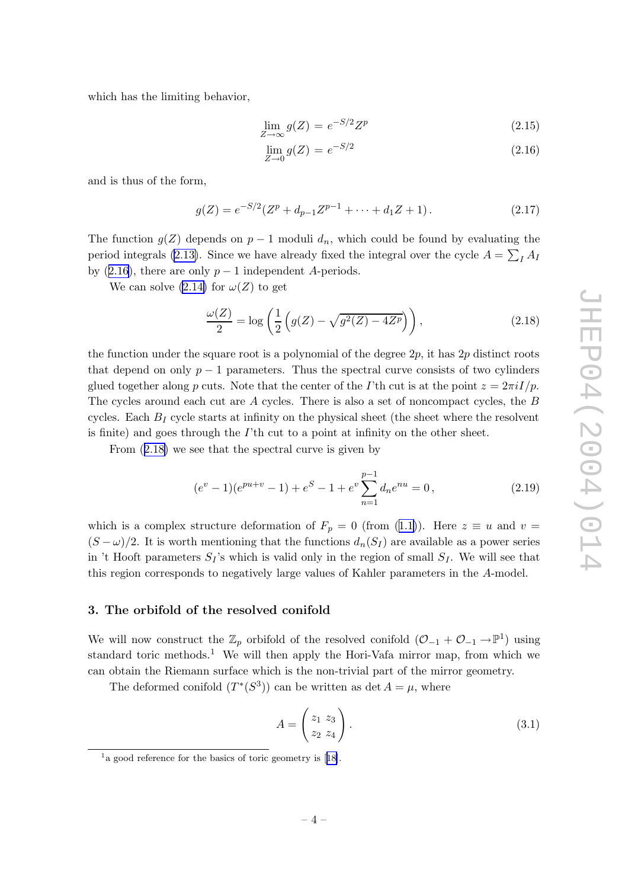<span id="page-4-0"></span>whic h has the limiting behavior,

$$
\lim_{Z \to \infty} g(Z) = e^{-S/2} Z^p \tag{2.15}
$$

$$
\lim_{Z \to 0} g(Z) = e^{-S/2} \tag{2.16}
$$

and is thus of the form,

$$
g(Z) = e^{-S/2}(Z^p + d_{p-1}Z^{p-1} + \dots + d_1Z + 1).
$$
 (2.17)

The function  $g(Z)$  depends on  $p-1$  moduli  $d_n$ , which could be found by evaluating the period integrals [\(2.13\)](#page-3-0). Since we have already fixed the integral over the cycle  $A = \sum_I A_I$ by  $(2.16)$ , there are only  $p-1$  independent A-periods.

We can solve  $(2.14)$  $(2.14)$  for  $\omega(Z)$  to get

$$
\frac{\omega(Z)}{2} = \log\left(\frac{1}{2}\left(g(Z) - \sqrt{g^2(Z) - 4Z^p}\right)\right),\tag{2.18}
$$

the function under the square root is a polynomial of the degree  $2p$ , it has  $2p$  distinct roots that depend on only  $p-1$  parameters. Thus the spectral curve consists of two cylinders glued together along p cuts. Note that the center of the *I*'th cut is at the point  $z = 2\pi i I/p$ . The cycles around each cut are A cycles. There is also a set of noncompact cycles, the B cycles. Each  $B_I$  cycle starts at infinity on the physical sheet (the sheet where the resolvent is finite) and goes through the  $I$ <sup>th</sup> cut to a point at infinity on the other sheet.

From  $(2.18)$  we see that the spectral curve is given by

$$
(e^v - 1)(e^{pu+v} - 1) + e^S - 1 + e^v \sum_{n=1}^{p-1} d_n e^{nu} = 0,
$$
\n(2.19)

which is a complex structure deformation of  $F_p = 0$  (from ([1.1\)](#page-1-0)). Here  $z \equiv u$  and  $v =$  $(S - \omega)/2$ . It is worth mentioning that the functions  $d_n(S_I)$  are available as a power series in 't Hooft parameters  $S_I$ 's which is valid only in the region of small  $S_I$ . We will see that this region corresponds to negatively large values of Kahler parameters in the A-model.

#### 3. The orbifold of the resolved conifold

We will now construct the  $\mathbb{Z}_p$  orbifold of the resolved conifold  $(\mathcal{O}_{-1} + \mathcal{O}_{-1} \to \mathbb{P}^1)$  using standard toric methods.<sup>1</sup> We will then apply the Hori-Vafa mirror map, from which we can obtain the Riemann surface whic h is the non-trivial part of the mirror geometry .

The deformed conifold  $(T^*(S^3))$  can be written as det  $A = \mu$ , where

$$
A = \begin{pmatrix} z_1 & z_3 \\ z_2 & z_4 \end{pmatrix} . \tag{3.1}
$$

 $1a$  good reference for the basics of toric geometry is [[18\]](#page-9-0).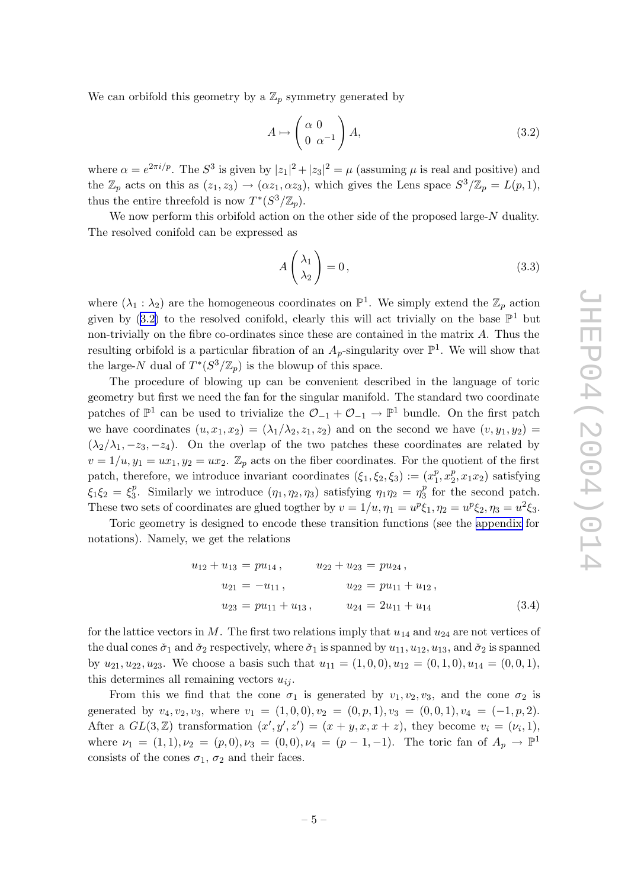We can orbifold this geometry by a  $\mathbb{Z}_p$  symmetry generated by

$$
A \mapsto \begin{pmatrix} \alpha & 0 \\ 0 & \alpha^{-1} \end{pmatrix} A, \tag{3.2}
$$

where  $\alpha = e^{2\pi i/p}$ . The  $S^3$  is given by  $|z_1|^2 + |z_3|^2 = \mu$  (assuming  $\mu$  is real and positive) and the  $\mathbb{Z}_p$  acts on this as  $(z_1, z_3) \to (\alpha z_1, \alpha z_3)$ , which gives the Lens space  $S^3/\mathbb{Z}_p = L(p, 1)$ , thus the entire threefold is now  $T^*(S^3/\mathbb{Z}_p)$ .

We now perform this orbifold action on the other side of the proposed large-N duality. The resolved conifold can b e expressed as

$$
A\left(\begin{array}{c}\lambda_1\\\lambda_2\end{array}\right)=0\,,\tag{3.3}
$$

where  $(\lambda_1 : \lambda_2)$  are the homogeneous coordinates on  $\mathbb{P}^1$ . We simply extend the  $\mathbb{Z}_p$  action given by (3.2) to the resolved conifold, clearly this will act trivially on the base  $\mathbb{P}^1$  but non-trivially on the fibre co-ordinates since these are contained in the matrix A . Thus the resulting orbifold is a particular fibration of an  $A_p$ -singularity over  $\mathbb{P}^1$ . We will show that the large-N dual of  $T^*(S^3/\mathbb{Z}_p)$  is the blowup of this space.

The procedure of blowing up can b e con venien t described in the language of toric geometry but first w e need the fan for the singular manifold. The standard t w o coordinate patches of  $\mathbb{P}^1$  can be used to trivialize the  $\mathcal{O}_{-1} + \mathcal{O}_{-1} \to \mathbb{P}^1$  bundle. On the first patch we have coordinates  $(u, x_1, x_2) = (\lambda_1/\lambda_2, z_1, z_2)$  and on the second we have  $(v, y_1, y_2) =$  $(\lambda_2/\lambda_1, -z_3, -z_4)$ . On the overlap of the two patches these coordinates are related by  $v = 1/u, y_1 = ux_1, y_2 = ux_2$ .  $\mathbb{Z}_p$  acts on the fiber coordinates. For the quotient of the first patch, therefore, we introduce invariant coordinates  $(\xi_1, \xi_2, \xi_3) := (x_1^p)$  $_{1}^{p}$ ,  $x_{2}^{p}$  $_2^p, x_1x_2$  satisfying  $\xi_1 \xi_2 = \xi_3^p$ <sup>p</sup><sub>3</sub>. Similarly we introduce  $(\eta_1, \eta_2, \eta_3)$  satisfying  $\eta_1 \eta_2 = \eta_3^p$  $\frac{p}{3}$  for the second patch. These two sets of coordinates are glued togther by  $v = 1/u$ ,  $\eta_1 = u^p \xi_1$ ,  $\eta_2 = u^p \xi_2$ ,  $\eta_3 = u^2 \xi_3$ .

Toric geometry is designed to encode these transition functions (see the [appendix](#page-7-0) for notations). Namely , w e get the relations

$$
u_{12} + u_{13} = pu_{14}, \t u_{22} + u_{23} = pu_{24},
$$
  
\n
$$
u_{21} = -u_{11}, \t u_{22} = pu_{11} + u_{12},
$$
  
\n
$$
u_{23} = pu_{11} + u_{13}, \t u_{24} = 2u_{11} + u_{14}
$$
\n(3.4)

for the lattice vectors in M. The first two relations imply that  $u_{14}$  and  $u_{24}$  are not vertices of the dual cones  $\check{\sigma}_1$  and  $\check{\sigma}_2$  respectively, where  $\check{\sigma}_1$  is spanned by  $u_{11}, u_{12}, u_{13}$ , and  $\check{\sigma}_2$  is spanned by  $u_{21}, u_{22}, u_{23}$ . We choose a basis such that  $u_{11} = (1, 0, 0), u_{12} = (0, 1, 0), u_{14} = (0, 0, 1),$ this determines all remaining vectors  $u_{ij}$ .

From this we find that the cone  $\sigma_1$  is generated by  $v_1, v_2, v_3$ , and the cone  $\sigma_2$  is generated by  $v_4, v_2, v_3$ , where  $v_1 = (1, 0, 0), v_2 = (0, p, 1), v_3 = (0, 0, 1), v_4 = (-1, p, 2)$ . After a  $GL(3, \mathbb{Z})$  transformation  $(x', y', z') = (x + y, x, x + z)$ , they become  $v_i = (\nu_i, 1)$ , where  $\nu_1 = (1,1), \nu_2 = (p,0), \nu_3 = (0,0), \nu_4 = (p-1,-1)$ . The toric fan of  $A_p \to \mathbb{P}^1$ consists of the cones  $\sigma_1,\,\sigma_2$  and their faces.<br>  $\label{eq:12}$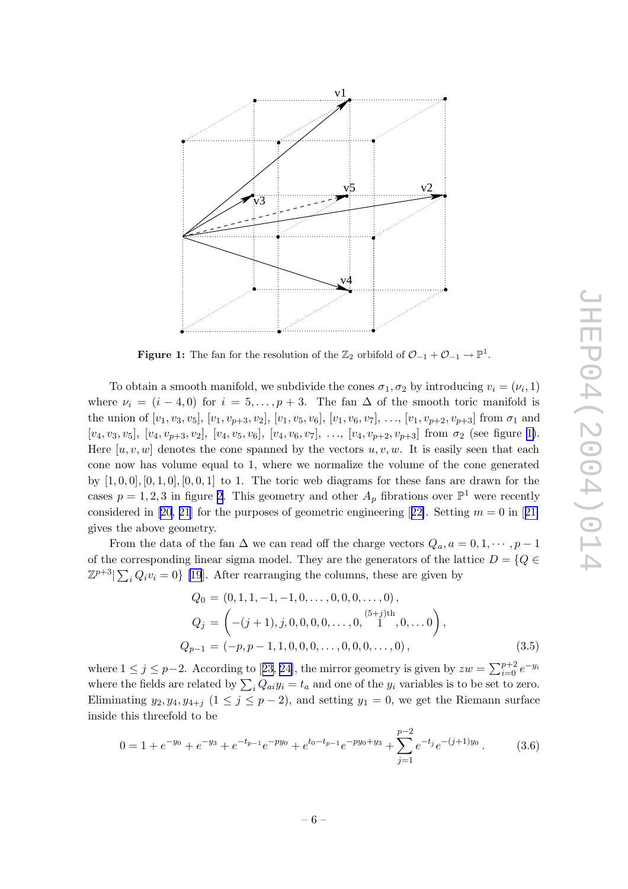

**Figure 1:** The fan for the resolution of the  $\mathbb{Z}_2$  orbifold of  $\mathcal{O}_{-1} + \mathcal{O}_{-1} \to \mathbb{P}^1$ .

To obtain a smooth manifold, we subdivide the cones  $\sigma_1, \sigma_2$  by introducing  $v_i = (\nu_i, 1)$ where  $\nu_i = (i-4,0)$  for  $i = 5,\ldots,p+3$ . The fan  $\Delta$  of the smooth toric manifold is the union of  $[v_1, v_3, v_5]$ ,  $[v_1, v_{p+3}, v_2]$ ,  $[v_1, v_5, v_6]$ ,  $[v_1, v_6, v_7]$ , ...,  $[v_1, v_{p+2}, v_{p+3}]$  from  $\sigma_1$  and  $[v_4, v_3, v_5], [v_4, v_{p+3}, v_2], [v_4, v_5, v_6], [v_4, v_6, v_7], \ldots, [v_4, v_{p+2}, v_{p+3}]$  from  $\sigma_2$  (see figure 1). Here  $[u, v, w]$  denotes the cone spanned by the vectors  $u, v, w$ . It is easily seen that each cone no w has volume equal to 1, where w e normalize the volume of the cone generated by  $[1,0,0], [0,1,0], [0,0,1]$  to 1. The toric web diagrams for these fans are drawn for the cases  $p = 1, 2, 3$  $p = 1, 2, 3$  $p = 1, 2, 3$  in figure 2. This geometry and other  $A_p$  fibrations over  $\mathbb{P}^1$  were recently considered in [\[20](#page-9-0), [21](#page-9-0)] for the purposes of geometric engineering [[22\]](#page-9-0). Setting  $m = 0$  in [21] gives the above geometry.

From the data of the fan  $\Delta$  we can read off the charge vectors  $Q_a, a = 0, 1, \dots, p-1$ of the corresponding linear sigma model. They are the generators of the lattice  $D = \{Q \in$  $\mathbb{Z}^{p+3}$   $\sum_i Q_i v_i = 0$  [\[19](#page-9-0)]. After rearranging the columns, these are given by

$$
Q_0 = (0, 1, 1, -1, -1, 0, \dots, 0, 0, 0, \dots, 0),
$$
  
\n
$$
Q_j = \left( -(j+1), j, 0, 0, 0, 0, \dots, 0, \begin{array}{c} (5+j)th \\ 1, 0, \dots, 0 \end{array} \right),
$$
  
\n
$$
Q_{p-1} = (-p, p-1, 1, 0, 0, 0, \dots, 0, 0, 0, \dots, 0),
$$
\n(3.5)

where  $1 \leq j \leq p-2$ . According to [[23](#page-9-0), [24\]](#page-9-0), the mirror geometry is given by  $zw = \sum_{i=0}^{p+2}$  $_{i=0}^{p+2}e^{-y_i}$ where the fields are related by  $\sum_i Q_{ai} y_i = t_a$  and one of the  $y_i$  variables is to be set to zero. Eliminating  $y_2, y_4, y_{4+j}$   $(1 \leq j \leq p-2)$ , and setting  $y_1 = 0$ , we get the Riemann surface inside this threefold to b e

$$
0 = 1 + e^{-y_0} + e^{-y_3} + e^{-t_{p-1}}e^{-py_0} + e^{t_0 - t_{p-1}}e^{-py_0 + y_3} + \sum_{j=1}^{p-2} e^{-t_j}e^{-(j+1)y_0}.
$$
 (3.6)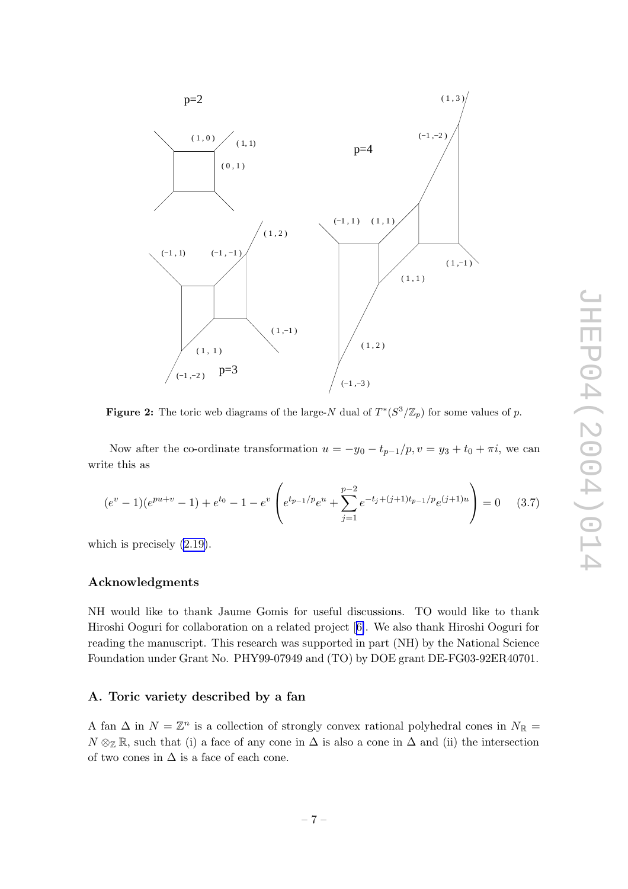<span id="page-7-0"></span>

**Figure 2:** The toric web diagrams of the large-N dual of  $T^*(S^3/\mathbb{Z}_p)$  for some values of p.

Now after the co-ordinate transformation  $u = -y_0 - t_{p-1}/p$ ,  $v = y_3 + t_0 + \pi i$ , we can write this as

$$
(e^v - 1)(e^{pu+v} - 1) + e^{t_0} - 1 - e^v \left( e^{t_{p-1}/p}e^u + \sum_{j=1}^{p-2} e^{-t_j + (j+1)t_{p-1}/p}e^{(j+1)u} \right) = 0 \quad (3.7)
$$

whic h is precisely [\(2.19\)](#page-4-0).

### Acknowledgments

NH would lik e to thank Jaume Gomis for useful discussions. TO would lik e to thank Hiroshi Ooguri for collaboration on a related project [[6\]](#page-8-0). We also thank Hiroshi Ooguri for reading the manuscript. This research was supported in part (NH) by the National Science Foundation under Grant No. PHY99-07949 and (TO) by DOE grant DE-FG03-92ER40701.

# A. Toric variet y described b y a fan

A fan  $\Delta$  in  $N = \mathbb{Z}^n$  is a collection of strongly convex rational polyhedral cones in  $N_{\mathbb{R}} =$  $N \otimes_{\mathbb{Z}} \mathbb{R}$ , such that (i) a face of any cone in  $\Delta$  is also a cone in  $\Delta$  and (ii) the intersection of two cones in  $\Delta$  is a face of each cone.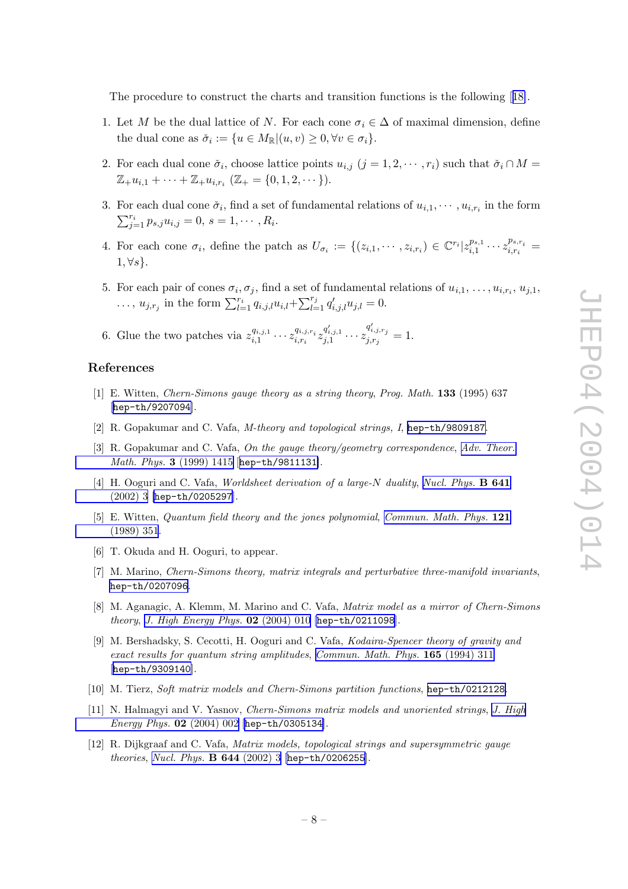<span id="page-8-0"></span>The procedure to construct the charts and transition functions is the following [[18\]](#page-9-0).

- 1. Let M be the dual lattice of N. For each cone  $\sigma_i \in \Delta$  of maximal dimension, define the dual cone as  $\check{\sigma}_i := \{ u \in M_{\mathbb{R}} | (u, v) \geq 0, \forall v \in \sigma_i \}.$
- 2. For each dual cone  $\check{\sigma}_i$ , choose lattice points  $u_{i,j}$   $(j = 1, 2, \dots, r_i)$  such that  $\check{\sigma}_i \cap M =$  $\mathbb{Z}_+ u_{i,1} + \cdots + \mathbb{Z}_+ u_{i,r_i}$  ( $\mathbb{Z}_+ = \{0, 1, 2, \cdots\}$ ).
- 3. For each dual cone  $\check{\sigma}_i$ , find a set of fundamental relations of  $u_{i,1}, \dots, u_{i,r_i}$  in the form  $\sum_{j=1}^{r_i} p_{s,j} u_{i,j} = 0, s = 1, \cdots, R_i.$
- 4. For each cone  $\sigma_i$ , define the patch as  $U_{\sigma_i} := \{(z_{i,1}, \dots, z_{i,r_i}) \in \mathbb{C}^{r_i} | z_{i,1}^{p_{s,1}} \dots z_{i,r_i}^{p_{s,r_i}} =$  $1, \forall s$ .
- 5. For each pair of cones  $\sigma_i, \sigma_j$ , find a set of fundamental relations of  $u_{i,1}, \ldots, u_{i,r_i}, u_{j,1}$ , ...,  $u_{j,r_j}$  in the form  $\sum_{l=1}^{r_i} q_{i,j,l} u_{i,l} + \sum_{l=1}^{r_j} q'_{i,j,l} u_{j,l} = 0$ .
- 6. Glue the two patches via  $z_{i,1}^{q_{i,j,1}} \cdots z_{i,r_i}^{q_{i,j,r_i}} z_{j,1}^{q'_{i,j,1}} \cdots z_{j,r_j}^{q'_{i,j,r_j}} = 1.$

#### References

- [1] E. Witten, Chern-Simons gauge theory as a string theory , Prog. Math. 133 (1995) 637 [[hep-th/9207094](http://xxx.lanl.gov/abs/hep-th/9207094)].
- [2] R. Gopakumar and C. Vafa, M-theory and topological strings, I, [hep-th/9809187](http://xxx.lanl.gov/abs/hep-th/9809187) .
- [3] R. Gopakumar and C. Vafa, On the gauge theory/geometry correspondence, Adv. [Theor.](http://www-spires.slac.stanford.edu/spires/find/hep/www?j=00203%2C3%2C1415) Math. Phys. 3 [\(1999\)](http://www-spires.slac.stanford.edu/spires/find/hep/www?j=00203%2C3%2C1415) 1415 [[hep-th/9811131](http://xxx.lanl.gov/abs/hep-th/9811131)].
- [4] H. Ooguri and C. Vafa, *Worldsheet derivation of a large-N duality*, *Nucl. [Phys.](http://www-spires.slac.stanford.edu/spires/find/hep/www?j=NUPHA%2CB641%2C3)* **B 641** [\(2002\)](http://www-spires.slac.stanford.edu/spires/find/hep/www?j=NUPHA%2CB641%2C3) 3 [[hep-th/0205297](http://xxx.lanl.gov/abs/hep-th/0205297)].
- [5] E. Witten, Quantum field theory and the jones polynomial, [Commun.](http://www-spires.slac.stanford.edu/spires/find/hep/www?j=CMPHA%2C121%2C351) Math. Phys. 121 [\(1989\)](http://www-spires.slac.stanford.edu/spires/find/hep/www?j=CMPHA%2C121%2C351) 351 .
- [6] T. Okuda and H. Ooguri, to appear.
- [7] M. Marino, Chern-Simons theory, matrix integrals and perturbative three-manifold invariants , [hep-th/0207096](http://xxx.lanl.gov/abs/hep-th/0207096) .
- [8] M. Aganagic, A. Klemm, M. Marino and C. Vafa, *Matrix model as a mirror of Chern-Simons theory*, *J. High [Energy](http://jhep.sissa.it/stdsearch?paper=02%282004%29010) Phys.*  $02$  (2004) 010 [[hep-th/0211098](http://xxx.lanl.gov/abs/hep-th/0211098)].
- [9] M. Bershadsky , S. Cecotti, H. Ooguri and C. Vafa, Kodaira-Spencer theory of gravity and exact results for quantum string amplitudes , [Commun.](http://www-spires.slac.stanford.edu/spires/find/hep/www?j=CMPHA%2C165%2C311) Math. Phys. 165 (1994) 311 [[hep-th/9309140](http://xxx.lanl.gov/abs/hep-th/9309140)].
- [10] M. Tierz, Soft matrix models and Chern-Simons partition functions, [hep-th/0212128](http://xxx.lanl.gov/abs/hep-th/0212128).
- [11] N. Halmagyi and V. Yasnov, Chern-Simons matrix models and unoriented strings, J. [High](http://jhep.sissa.it/stdsearch?paper=02%282004%29002) *[Energy](http://jhep.sissa.it/stdsearch?paper=02%282004%29002) Phys.*  $02$  (2004) 002 [[hep-th/0305134](http://xxx.lanl.gov/abs/hep-th/0305134)].
- [12] R. Dijkgraaf and C. Vafa, Matrix models, topological strings and supersymmetric gauge theories, Nucl. Phys. **B 644** [\(2002\)](http://www-spires.slac.stanford.edu/spires/find/hep/www?j=NUPHA%2CB644%2C3) 3 [[hep-th/0206255](http://xxx.lanl.gov/abs/hep-th/0206255)].